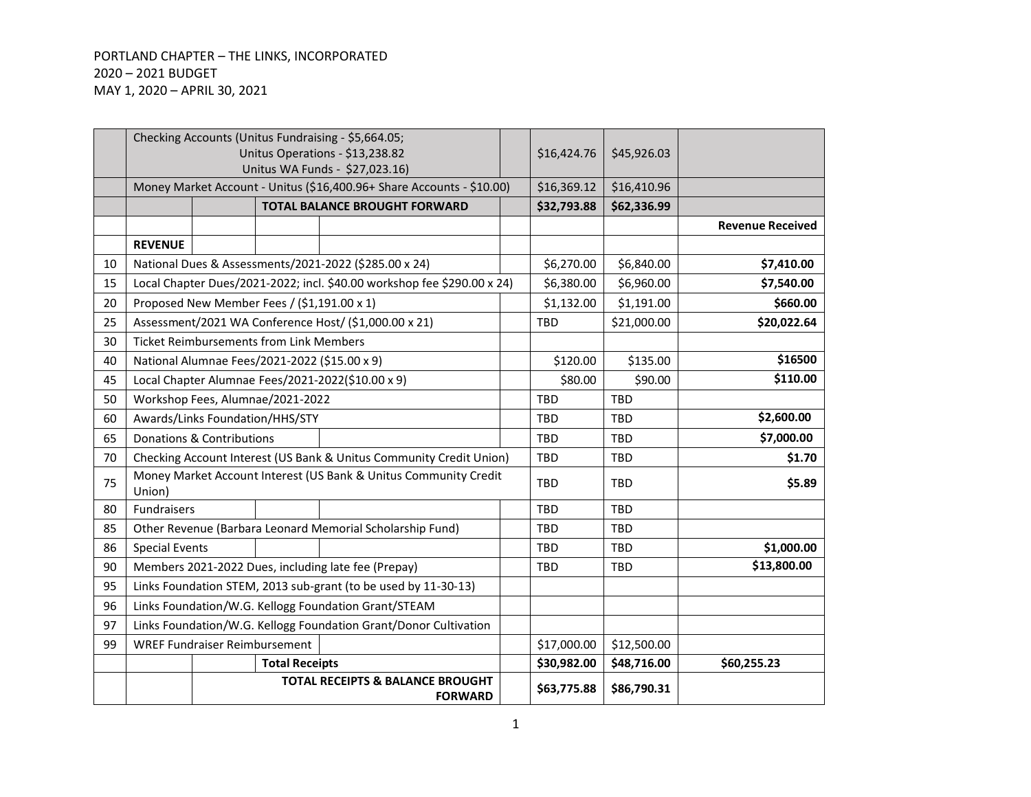## PORTLAND CHAPTER – THE LINKS, INCORPORATED – 2021 BUDGET MAY 1, 2020 – APRIL 30, 2021

|    |                       |                                      |                                                | Checking Accounts (Unitus Fundraising - \$5,664.05;                                                     |             |             |                         |
|----|-----------------------|--------------------------------------|------------------------------------------------|---------------------------------------------------------------------------------------------------------|-------------|-------------|-------------------------|
|    |                       |                                      |                                                | Unitus Operations - \$13,238.82                                                                         | \$16,424.76 | \$45,926.03 |                         |
|    |                       |                                      |                                                | Unitus WA Funds - \$27,023.16)<br>Money Market Account - Unitus (\$16,400.96+ Share Accounts - \$10.00) | \$16,369.12 | \$16,410.96 |                         |
|    |                       |                                      |                                                | <b>TOTAL BALANCE BROUGHT FORWARD</b>                                                                    | \$32,793.88 | \$62,336.99 |                         |
|    |                       |                                      |                                                |                                                                                                         |             |             | <b>Revenue Received</b> |
|    | <b>REVENUE</b>        |                                      |                                                |                                                                                                         |             |             |                         |
| 10 |                       |                                      |                                                | National Dues & Assessments/2021-2022 (\$285.00 x 24)                                                   | \$6,270.00  | \$6,840.00  | \$7,410.00              |
| 15 |                       |                                      |                                                | Local Chapter Dues/2021-2022; incl. \$40.00 workshop fee \$290.00 x 24)                                 | \$6,380.00  | \$6,960.00  | \$7,540.00              |
| 20 |                       |                                      | Proposed New Member Fees / (\$1,191.00 x 1)    |                                                                                                         | \$1,132.00  | \$1,191.00  | \$660.00                |
| 25 |                       |                                      |                                                | Assessment/2021 WA Conference Host/ (\$1,000.00 x 21)                                                   | <b>TBD</b>  | \$21,000.00 | \$20,022.64             |
| 30 |                       |                                      | <b>Ticket Reimbursements from Link Members</b> |                                                                                                         |             |             |                         |
| 40 |                       |                                      |                                                | National Alumnae Fees/2021-2022 (\$15.00 x 9)                                                           | \$120.00    | \$135.00    | \$16500                 |
| 45 |                       |                                      |                                                | Local Chapter Alumnae Fees/2021-2022(\$10.00 x 9)                                                       | \$80.00     | \$90.00     | \$110.00                |
| 50 |                       |                                      | Workshop Fees, Alumnae/2021-2022               |                                                                                                         | TBD         | TBD         |                         |
| 60 |                       |                                      | Awards/Links Foundation/HHS/STY                |                                                                                                         | <b>TBD</b>  | <b>TBD</b>  | \$2,600.00              |
| 65 |                       | <b>Donations &amp; Contributions</b> |                                                |                                                                                                         | <b>TBD</b>  | <b>TBD</b>  | \$7,000.00              |
| 70 |                       |                                      |                                                | Checking Account Interest (US Bank & Unitus Community Credit Union)                                     | <b>TBD</b>  | <b>TBD</b>  | \$1.70                  |
|    |                       |                                      |                                                | Money Market Account Interest (US Bank & Unitus Community Credit                                        |             |             |                         |
| 75 | Union)                |                                      |                                                |                                                                                                         | <b>TBD</b>  | <b>TBD</b>  | \$5.89                  |
| 80 | <b>Fundraisers</b>    |                                      |                                                |                                                                                                         | <b>TBD</b>  | <b>TBD</b>  |                         |
| 85 |                       |                                      |                                                | Other Revenue (Barbara Leonard Memorial Scholarship Fund)                                               | <b>TBD</b>  | <b>TBD</b>  |                         |
| 86 | <b>Special Events</b> |                                      |                                                |                                                                                                         | <b>TBD</b>  | <b>TBD</b>  | \$1,000.00              |
| 90 |                       |                                      |                                                | Members 2021-2022 Dues, including late fee (Prepay)                                                     | <b>TBD</b>  | <b>TBD</b>  | \$13,800.00             |
| 95 |                       |                                      |                                                | Links Foundation STEM, 2013 sub-grant (to be used by 11-30-13)                                          |             |             |                         |
| 96 |                       |                                      |                                                | Links Foundation/W.G. Kellogg Foundation Grant/STEAM                                                    |             |             |                         |
| 97 |                       |                                      |                                                | Links Foundation/W.G. Kellogg Foundation Grant/Donor Cultivation                                        |             |             |                         |
| 99 |                       | <b>WREF Fundraiser Reimbursement</b> |                                                |                                                                                                         | \$17,000.00 | \$12,500.00 |                         |
|    |                       |                                      | <b>Total Receipts</b>                          |                                                                                                         | \$30,982.00 | \$48,716.00 | \$60,255.23             |
|    |                       |                                      |                                                | <b>TOTAL RECEIPTS &amp; BALANCE BROUGHT</b><br><b>FORWARD</b>                                           | \$63,775.88 | \$86,790.31 |                         |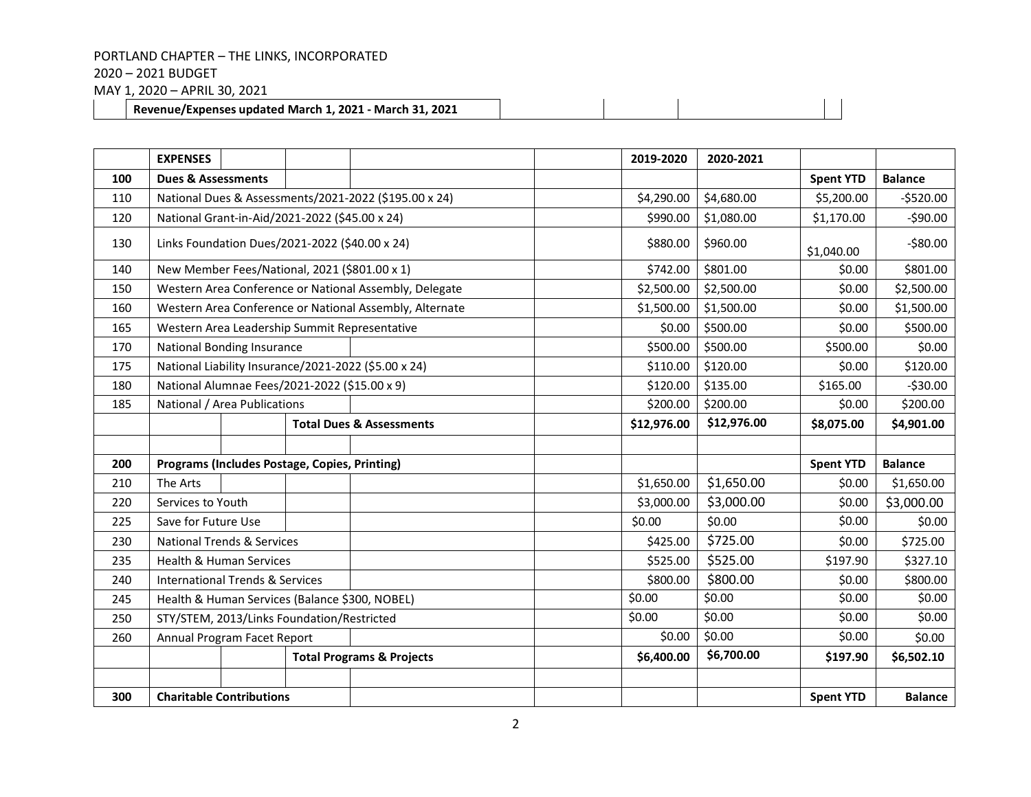– 2021 BUDGET

MAY 1, 2020 – APRIL 30, 2021

**Revenue/Expenses updated March 1, 2021 - March 31, 2021**

|     | <b>EXPENSES</b>                                |  |  |                                                         | 2019-2020   | 2020-2021  |                  |                |
|-----|------------------------------------------------|--|--|---------------------------------------------------------|-------------|------------|------------------|----------------|
| 100 | <b>Dues &amp; Assessments</b>                  |  |  |                                                         |             |            | <b>Spent YTD</b> | <b>Balance</b> |
| 110 |                                                |  |  | National Dues & Assessments/2021-2022 (\$195.00 x 24)   | \$4,290.00  | \$4,680.00 | \$5,200.00       | $-5520.00$     |
| 120 | National Grant-in-Aid/2021-2022 (\$45.00 x 24) |  |  |                                                         | \$990.00    | \$1,080.00 | \$1,170.00       | $-590.00$      |
| 130 | Links Foundation Dues/2021-2022 (\$40.00 x 24) |  |  |                                                         | \$880.00    | \$960.00   | \$1,040.00       | $-580.00$      |
| 140 | New Member Fees/National, 2021 (\$801.00 x 1)  |  |  |                                                         | \$742.00    | \$801.00   | \$0.00           | \$801.00       |
| 150 |                                                |  |  | Western Area Conference or National Assembly, Delegate  | \$2,500.00  | \$2,500.00 | \$0.00           | \$2,500.00     |
| 160 |                                                |  |  | Western Area Conference or National Assembly, Alternate | \$1,500.00  | \$1,500.00 | \$0.00           | \$1,500.00     |
| 165 |                                                |  |  | Western Area Leadership Summit Representative           | \$0.00      | \$500.00   | \$0.00           | \$500.00       |
| 170 | <b>National Bonding Insurance</b>              |  |  |                                                         | \$500.00    | \$500.00   | \$500.00         | \$0.00         |
| 175 |                                                |  |  | National Liability Insurance/2021-2022 (\$5.00 x 24)    | \$110.00    | \$120.00   | \$0.00           | \$120.00       |
| 180 | National Alumnae Fees/2021-2022 (\$15.00 x 9)  |  |  |                                                         | \$120.00    | \$135.00   | \$165.00         | $-530.00$      |
| 185 | National / Area Publications                   |  |  |                                                         | \$200.00    | \$200.00   | \$0.00           | \$200.00       |
|     | <b>Total Dues &amp; Assessments</b>            |  |  | \$12,976.00                                             | \$12,976.00 | \$8,075.00 | \$4,901.00       |                |
|     |                                                |  |  |                                                         |             |            |                  |                |
| 200 | Programs (Includes Postage, Copies, Printing)  |  |  |                                                         |             |            | <b>Spent YTD</b> | <b>Balance</b> |
| 210 | The Arts                                       |  |  |                                                         | \$1,650.00  | \$1,650.00 | \$0.00           | \$1,650.00     |
| 220 | Services to Youth                              |  |  |                                                         | \$3,000.00  | \$3,000.00 | \$0.00           | \$3,000.00     |
| 225 | Save for Future Use                            |  |  |                                                         | \$0.00      | \$0.00     | \$0.00           | \$0.00         |
| 230 | <b>National Trends &amp; Services</b>          |  |  |                                                         | \$425.00    | \$725.00   | \$0.00           | \$725.00       |
| 235 | <b>Health &amp; Human Services</b>             |  |  |                                                         | \$525.00    | \$525.00   | \$197.90         | \$327.10       |
| 240 | <b>International Trends &amp; Services</b>     |  |  |                                                         | \$800.00    | \$800.00   | \$0.00           | \$800.00       |
| 245 | Health & Human Services (Balance \$300, NOBEL) |  |  |                                                         | \$0.00      | \$0.00     | \$0.00           | \$0.00         |
| 250 | STY/STEM, 2013/Links Foundation/Restricted     |  |  |                                                         | \$0.00      | \$0.00     | \$0.00           | \$0.00         |
| 260 | Annual Program Facet Report                    |  |  |                                                         | \$0.00      | \$0.00     | \$0.00           | \$0.00         |
|     |                                                |  |  | <b>Total Programs &amp; Projects</b>                    | \$6,400.00  | \$6,700.00 | \$197.90         | \$6,502.10     |
|     |                                                |  |  |                                                         |             |            |                  |                |
| 300 | <b>Charitable Contributions</b>                |  |  |                                                         |             |            | <b>Spent YTD</b> | <b>Balance</b> |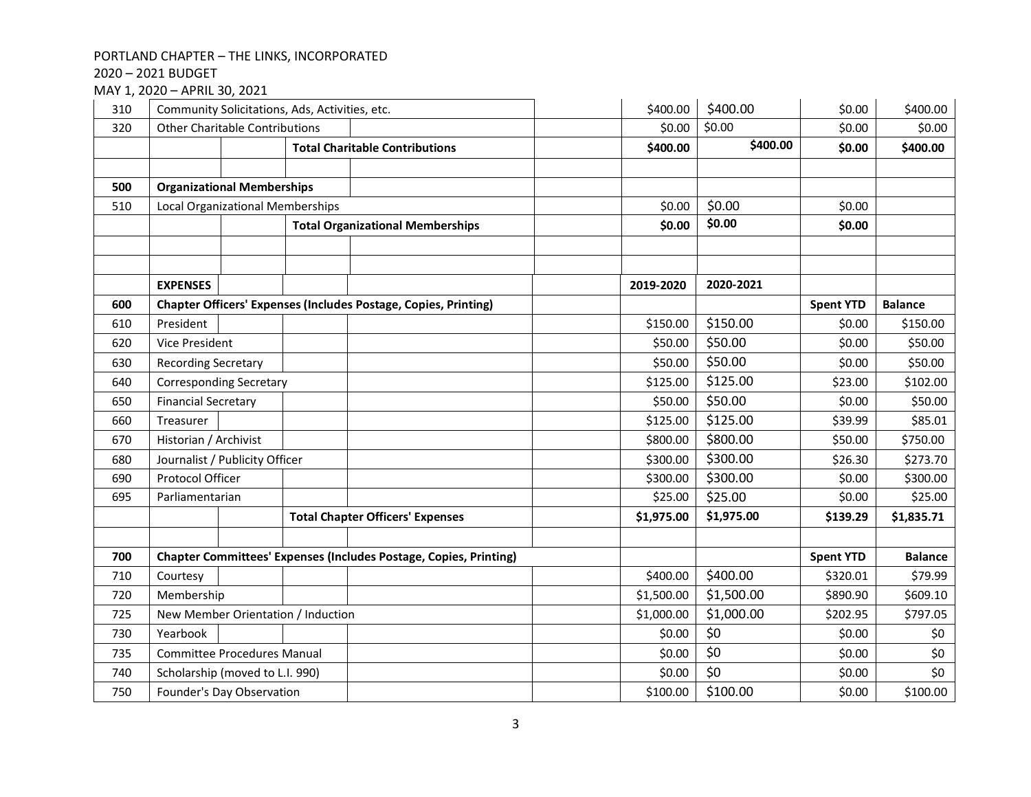– 2021 BUDGET

MAY 1, 2020 – APRIL 30, 2021

| 310 |                                         | Community Solicitations, Ads, Activities, etc. |  |                                                                          |  |            | \$400.00   | \$0.00           | \$400.00       |
|-----|-----------------------------------------|------------------------------------------------|--|--------------------------------------------------------------------------|--|------------|------------|------------------|----------------|
| 320 | <b>Other Charitable Contributions</b>   |                                                |  |                                                                          |  | \$0.00     | \$0.00     | \$0.00           | \$0.00         |
|     |                                         |                                                |  | <b>Total Charitable Contributions</b>                                    |  | \$400.00   | \$400.00   | \$0.00           | \$400.00       |
|     |                                         |                                                |  |                                                                          |  |            |            |                  |                |
| 500 | <b>Organizational Memberships</b>       |                                                |  |                                                                          |  |            |            |                  |                |
| 510 | <b>Local Organizational Memberships</b> |                                                |  |                                                                          |  | \$0.00     | \$0.00     | \$0.00           |                |
|     |                                         |                                                |  | <b>Total Organizational Memberships</b>                                  |  | \$0.00     | \$0.00     | \$0.00           |                |
|     |                                         |                                                |  |                                                                          |  |            |            |                  |                |
|     |                                         |                                                |  |                                                                          |  |            |            |                  |                |
|     | <b>EXPENSES</b>                         |                                                |  |                                                                          |  | 2019-2020  | 2020-2021  |                  |                |
| 600 |                                         |                                                |  | <b>Chapter Officers' Expenses (Includes Postage, Copies, Printing)</b>   |  |            |            | <b>Spent YTD</b> | <b>Balance</b> |
| 610 | President                               |                                                |  |                                                                          |  | \$150.00   | \$150.00   | \$0.00           | \$150.00       |
| 620 | <b>Vice President</b>                   |                                                |  |                                                                          |  | \$50.00    | \$50.00    | \$0.00           | \$50.00        |
| 630 | <b>Recording Secretary</b>              |                                                |  |                                                                          |  | \$50.00    | \$50.00    | \$0.00           | \$50.00        |
| 640 |                                         | <b>Corresponding Secretary</b>                 |  |                                                                          |  | \$125.00   | \$125.00   | \$23.00          | \$102.00       |
| 650 | <b>Financial Secretary</b>              |                                                |  |                                                                          |  | \$50.00    | \$50.00    | \$0.00           | \$50.00        |
| 660 | Treasurer                               |                                                |  |                                                                          |  | \$125.00   | \$125.00   | \$39.99          | \$85.01        |
| 670 | Historian / Archivist                   |                                                |  |                                                                          |  | \$800.00   | \$800.00   | \$50.00          | \$750.00       |
| 680 | Journalist / Publicity Officer          |                                                |  |                                                                          |  | \$300.00   | \$300.00   | \$26.30          | \$273.70       |
| 690 | Protocol Officer                        |                                                |  |                                                                          |  | \$300.00   | \$300.00   | \$0.00           | \$300.00       |
| 695 | Parliamentarian                         |                                                |  |                                                                          |  | \$25.00    | \$25.00    | \$0.00           | \$25.00        |
|     |                                         |                                                |  | <b>Total Chapter Officers' Expenses</b>                                  |  | \$1,975.00 | \$1,975.00 | \$139.29         | \$1,835.71     |
|     |                                         |                                                |  |                                                                          |  |            |            |                  |                |
| 700 |                                         |                                                |  | <b>Chapter Committees' Expenses (Includes Postage, Copies, Printing)</b> |  |            |            | <b>Spent YTD</b> | <b>Balance</b> |
| 710 | Courtesy                                |                                                |  |                                                                          |  | \$400.00   | \$400.00   | \$320.01         | \$79.99        |
| 720 | Membership                              |                                                |  |                                                                          |  | \$1,500.00 | \$1,500.00 | \$890.90         | \$609.10       |
| 725 |                                         | New Member Orientation / Induction             |  |                                                                          |  | \$1,000.00 | \$1,000.00 | \$202.95         | \$797.05       |
| 730 | Yearbook                                |                                                |  |                                                                          |  | \$0.00     | \$0        | \$0.00           | \$0            |
| 735 | <b>Committee Procedures Manual</b>      |                                                |  |                                                                          |  | \$0.00     | \$0        | \$0.00           | \$0            |
| 740 | Scholarship (moved to L.I. 990)         |                                                |  |                                                                          |  | \$0.00     | \$0        | \$0.00           | \$0            |
| 750 | Founder's Day Observation               |                                                |  |                                                                          |  | \$100.00   | \$100.00   | \$0.00           | \$100.00       |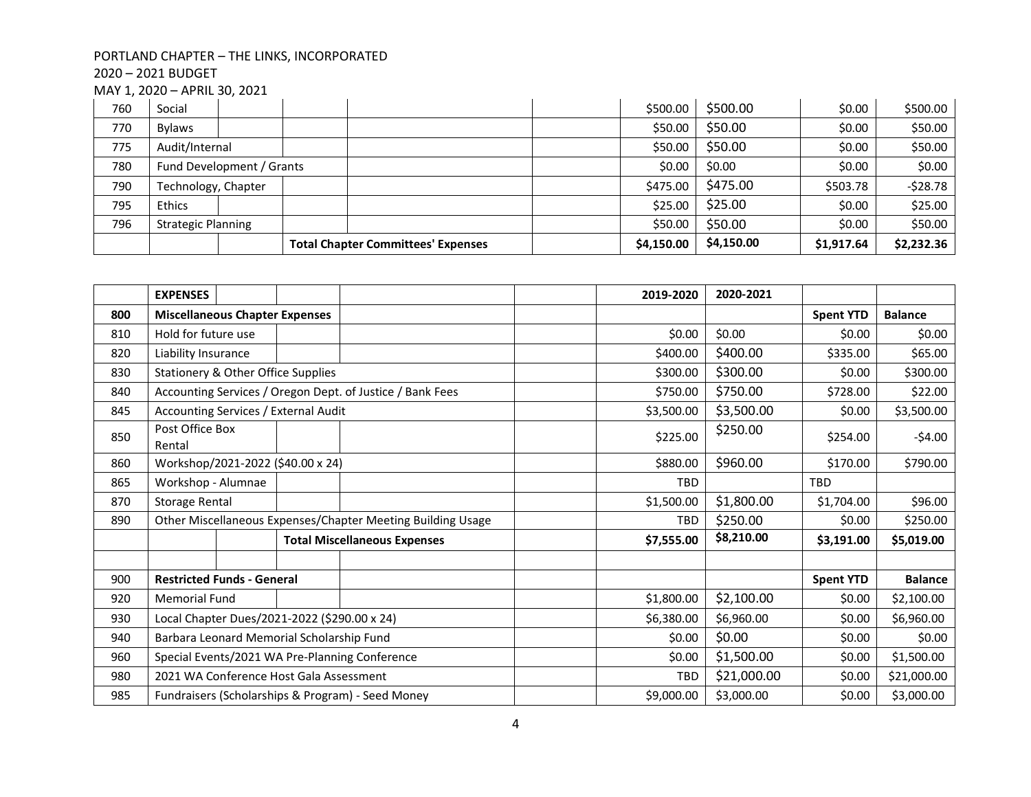– 2021 BUDGET

MAY 1, 2020 – APRIL 30, 2021

| 760 | Social                    |  |                                           |  | \$500.00   | \$500.00   | \$0.00     | \$500.00   |
|-----|---------------------------|--|-------------------------------------------|--|------------|------------|------------|------------|
| 770 | Bylaws                    |  |                                           |  | \$50.00    | \$50.00    | \$0.00     | \$50.00    |
| 775 | Audit/Internal            |  |                                           |  | \$50.00    | \$50.00    | \$0.00     | \$50.00    |
| 780 | Fund Development / Grants |  |                                           |  | \$0.00     | \$0.00     | \$0.00     | \$0.00     |
| 790 | Technology, Chapter       |  |                                           |  | \$475.00   | \$475.00   | \$503.78   | $-528.78$  |
| 795 | <b>Ethics</b>             |  |                                           |  | \$25.00    | \$25.00    | \$0.00     | \$25.00    |
| 796 | <b>Strategic Planning</b> |  |                                           |  | \$50.00    | \$50.00    | \$0.00     | \$50.00    |
|     |                           |  | <b>Total Chapter Committees' Expenses</b> |  | \$4,150.00 | \$4,150.00 | \$1,917.64 | \$2,232.36 |

|     | <b>EXPENSES</b>                                             |  |                                     | 2019-2020  | 2020-2021   |                  |                |
|-----|-------------------------------------------------------------|--|-------------------------------------|------------|-------------|------------------|----------------|
| 800 | <b>Miscellaneous Chapter Expenses</b>                       |  |                                     |            |             | <b>Spent YTD</b> | <b>Balance</b> |
| 810 | Hold for future use                                         |  |                                     | \$0.00     | \$0.00      | \$0.00           | \$0.00         |
| 820 | Liability Insurance                                         |  |                                     | \$400.00   | \$400.00    | \$335.00         | \$65.00        |
| 830 | Stationery & Other Office Supplies                          |  |                                     | \$300.00   | \$300.00    | \$0.00           | \$300.00       |
| 840 | Accounting Services / Oregon Dept. of Justice / Bank Fees   |  |                                     | \$750.00   | \$750.00    | \$728.00         | \$22.00        |
| 845 | Accounting Services / External Audit                        |  |                                     | \$3,500.00 | \$3,500.00  | \$0.00           | \$3,500.00     |
| 850 | Post Office Box<br>Rental                                   |  |                                     | \$225.00   | \$250.00    | \$254.00         | $-54.00$       |
| 860 | Workshop/2021-2022 (\$40.00 x 24)                           |  |                                     | \$880.00   | \$960.00    | \$170.00         | \$790.00       |
| 865 | Workshop - Alumnae                                          |  |                                     | <b>TBD</b> |             | <b>TBD</b>       |                |
| 870 | <b>Storage Rental</b>                                       |  |                                     | \$1,500.00 | \$1,800.00  | \$1,704.00       | \$96.00        |
| 890 | Other Miscellaneous Expenses/Chapter Meeting Building Usage |  |                                     | <b>TBD</b> | \$250.00    | \$0.00           | \$250.00       |
|     |                                                             |  | <b>Total Miscellaneous Expenses</b> | \$7,555.00 | \$8,210.00  | \$3,191.00       | \$5,019.00     |
|     |                                                             |  |                                     |            |             |                  |                |
| 900 | <b>Restricted Funds - General</b>                           |  |                                     |            |             | <b>Spent YTD</b> | <b>Balance</b> |
| 920 | <b>Memorial Fund</b>                                        |  |                                     | \$1,800.00 | \$2,100.00  | \$0.00           | \$2,100.00     |
| 930 | Local Chapter Dues/2021-2022 (\$290.00 x 24)                |  |                                     | \$6,380.00 | \$6,960.00  | \$0.00           | \$6,960.00     |
| 940 | Barbara Leonard Memorial Scholarship Fund                   |  |                                     | \$0.00     | \$0.00      | \$0.00           | \$0.00         |
| 960 | Special Events/2021 WA Pre-Planning Conference              |  |                                     | \$0.00     | \$1,500.00  | \$0.00           | \$1,500.00     |
| 980 | 2021 WA Conference Host Gala Assessment                     |  |                                     | TBD        | \$21,000.00 | \$0.00           | \$21,000.00    |
| 985 | Fundraisers (Scholarships & Program) - Seed Money           |  |                                     | \$9,000.00 | \$3,000.00  | \$0.00           | \$3,000.00     |